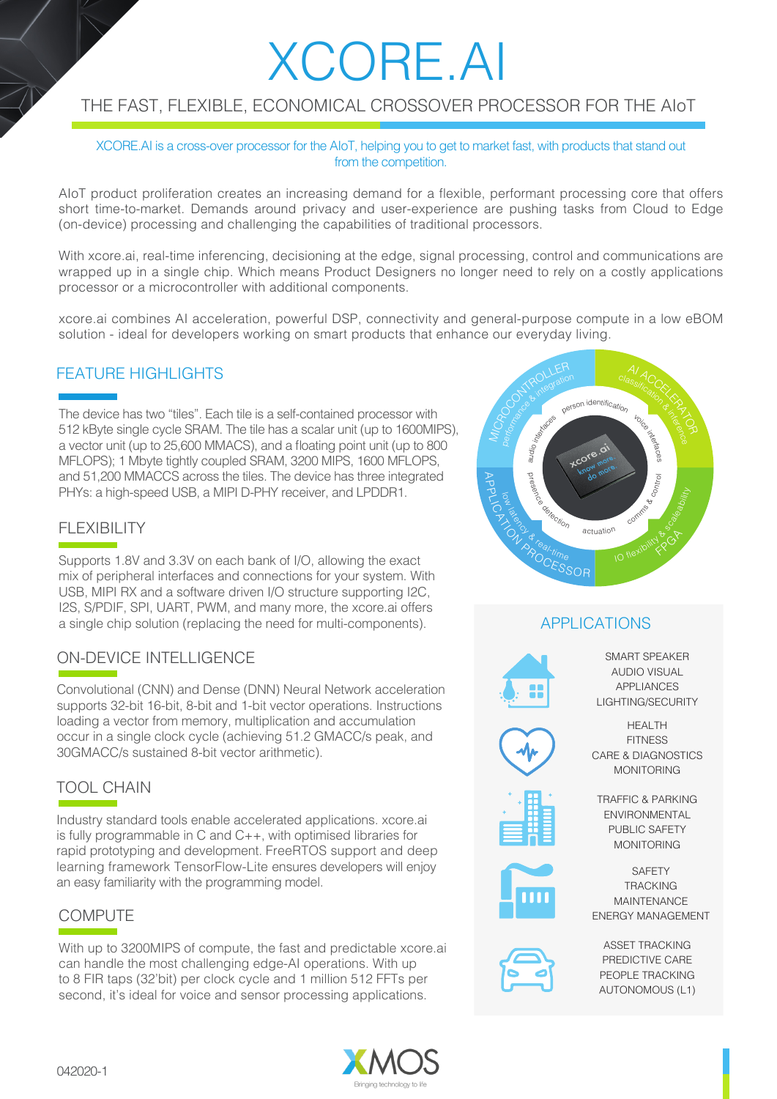# XCORE.AI

## THE FAST, FLEXIBLE, ECONOMICAL CROSSOVER PROCESSOR FOR THE AIoT

XCORE.AI is a cross-over processor for the AIoT, helping you to get to market fast, with products that stand out from the competition.

AIoT product proliferation creates an increasing demand for a flexible, performant processing core that offers short time-to-market. Demands around privacy and user-experience are pushing tasks from Cloud to Edge (on-device) processing and challenging the capabilities of traditional processors.

With xcore.ai, real-time inferencing, decisioning at the edge, signal processing, control and communications are wrapped up in a single chip. Which means Product Designers no longer need to rely on a costly applications processor or a microcontroller with additional components.

xcore.ai combines AI acceleration, powerful DSP, connectivity and general-purpose compute in a low eBOM solution - ideal for developers working on smart products that enhance our everyday living.

#### FEATURE HIGHLIGHTS

The device has two "tiles". Each tile is a self-contained processor with 512 kByte single cycle SRAM. The tile has a scalar unit (up to 1600MIPS), a vector unit (up to 25,600 MMACS), and a floating point unit (up to 800 MFLOPS); 1 Mbyte tightly coupled SRAM, 3200 MIPS, 1600 MFLOPS, and 51,200 MMACCS across the tiles. The device has three integrated PHYs: a high-speed USB, a MIPI D-PHY receiver, and LPDDR1.

### FLEXIBILITY

Supports 1.8V and 3.3V on each bank of I/O, allowing the exact mix of peripheral interfaces and connections for your system. With USB, MIPI RX and a software driven I/O structure supporting I2C, I2S, S/PDIF, SPI, UART, PWM, and many more, the xcore.ai offers a single chip solution (replacing the need for multi-components).

## ON-DEVICE INTELLIGENCE

Convolutional (CNN) and Dense (DNN) Neural Network acceleration supports 32-bit 16-bit, 8-bit and 1-bit vector operations. Instructions loading a vector from memory, multiplication and accumulation occur in a single clock cycle (achieving 51.2 GMACC/s peak, and 30GMACC/s sustained 8-bit vector arithmetic).

## TOOL CHAIN

Industry standard tools enable accelerated applications. xcore.ai is fully programmable in C and C++, with optimised libraries for rapid prototyping and development. FreeRTOS support and deep learning framework TensorFlow-Lite ensures developers will enjoy an easy familiarity with the programming model.

#### **COMPUTE**

With up to 3200MIPS of compute, the fast and predictable xcore.ai can handle the most challenging edge-AI operations. With up to 8 FIR taps (32'bit) per clock cycle and 1 million 512 FFTs per second, it's ideal for voice and sensor processing applications.



## APPLICATIONS



SMART SPEAKER AUDIO VISUAL APPLIANCES LIGHTING/SECURITY



HEALTH **FITNESS** CARE & DIAGNOSTICS MONITORING



TRAFFIC & PARKING ENVIRONMENTAL PUBLIC SAFETY MONITORING

**SAFFTY TRACKING** MAINTENANCE ENERGY MANAGEMENT



ASSET TRACKING PREDICTIVE CARE PEOPLE TRACKING AUTONOMOUS (L1)